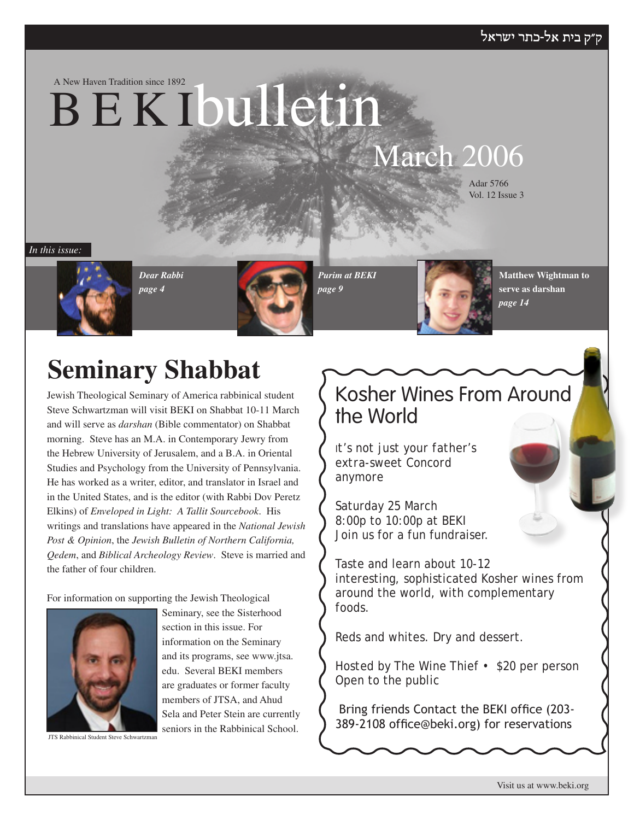#### ק״ק בית אל-כתר ישראל

A New Haven Tradition since 1892

# B E K Ibulletin

# March 2006

Adar 5766 Vol. 12 Issue 3

*In this issue:*



*Dear Rabbi page 4*



*Purim at BEKI page 9*

the World

Saturday 25 March 8:00p to 10:00p at BEKI

*anymore*



Kosher Wines From Around

**Matthew Wightman to serve as darshan** *page 14*

# **Seminary Shabbat**

Jewish Theological Seminary of America rabbinical student Steve Schwartzman will visit BEKI on Shabbat 10-11 March and will serve as *darshan* (Bible commentator) on Shabbat morning. Steve has an M.A. in Contemporary Jewry from the Hebrew University of Jerusalem, and a B.A. in Oriental Studies and Psychology from the University of Pennsylvania. He has worked as a writer, editor, and translator in Israel and in the United States, and is the editor (with Rabbi Dov Peretz Elkins) of *Enveloped in Light: A Tallit Sourcebook*. His writings and translations have appeared in the *National Jewish Post & Opinion*, the *Jewish Bulletin of Northern California, Qedem*, and *Biblical Archeology Review*. Steve is married and the father of four children.

For information on supporting the Jewish Theological



Seminary, see the Sisterhood section in this issue. For information on the Seminary and its programs, see www.jtsa. edu. Several BEKI members are graduates or former faculty members of JTSA, and Ahud Sela and Peter Stein are currently seniors in the Rabbinical School.

JTS Rabbinical Student Steve Schwartzman

Join us for a fun fundraiser. Taste and learn about 10-12 interesting, sophisticated Kosher wines from around the world, with complementary foods.

*It's not just your father's extra-sweet Concord* 

Reds and whites. Dry and dessert.

*Hosted* by The Wine Thief • \$20 per person Open to the public

 Bring friends Contact the BEKI office (203- 389-2108 office@beki.org) for reservations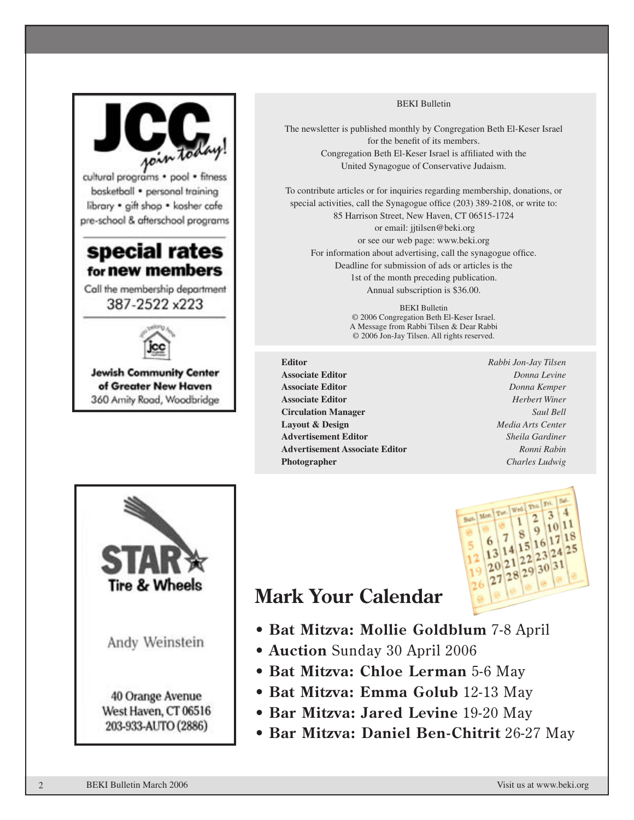

#### BEKI Bulletin

The newsletter is published monthly by Congregation Beth El-Keser Israel for the benefit of its members. Congregation Beth El-Keser Israel is affiliated with the United Synagogue of Conservative Judaism.

To contribute articles or for inquiries regarding membership, donations, or special activities, call the Synagogue office (203) 389-2108, or write to: 85 Harrison Street, New Haven, CT 06515-1724 or email: jjtilsen@beki.org or see our web page: www.beki.org For information about advertising, call the synagogue office. Deadline for submission of ads or articles is the 1st of the month preceding publication. Annual subscription is \$36.00.

> BEKI Bulletin © 2006 Congregation Beth El-Keser Israel. A Message from Rabbi Tilsen & Dear Rabbi © 2006 Jon-Jay Tilsen. All rights reserved.

- **Editor** *Rabbi Jon-Jay Tilsen* **Associate Editor** *Donna Levine* **Associate Editor** *Donna Kemper* **Associate Editor** *Herbert Winer* **Circulation Manager** *Saul Bell* **Layout & Design** *Media Arts Center* **Advertisement Editor** *Sheila Gardiner* **Advertisement Associate Editor** *Ronni Rabin* **Photographer** *Charles Ludwig*
	-



# **Mark Your Calendar**

- **Bat Mitzva: Mollie Goldblum** 7-8 April
- **Auction** Sunday 30 April 2006
- **Bat Mitzva: Chloe Lerman** 5-6 May
- **Bat Mitzva: Emma Golub** 12-13 May
- **Bar Mitzva: Jared Levine** 19-20 May
- **Bar Mitzva: Daniel Ben-Chitrit** 26-27 May



2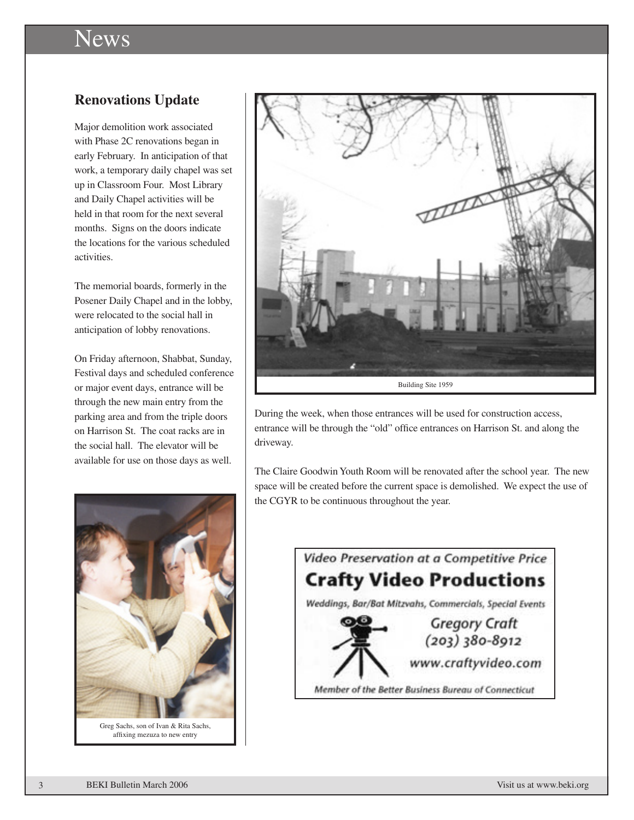# News

## **Renovations Update**

Major demolition work associated with Phase 2C renovations began in early February. In anticipation of that work, a temporary daily chapel was set up in Classroom Four. Most Library and Daily Chapel activities will be held in that room for the next several months. Signs on the doors indicate the locations for the various scheduled activities.

The memorial boards, formerly in the Posener Daily Chapel and in the lobby, were relocated to the social hall in anticipation of lobby renovations.

On Friday afternoon, Shabbat, Sunday, Festival days and scheduled conference or major event days, entrance will be through the new main entry from the parking area and from the triple doors on Harrison St. The coat racks are in the social hall. The elevator will be available for use on those days as well.



affixing mezuza to new entry



During the week, when those entrances will be used for construction access, entrance will be through the "old" office entrances on Harrison St. and along the driveway.

The Claire Goodwin Youth Room will be renovated after the school year. The new space will be created before the current space is demolished. We expect the use of the CGYR to be continuous throughout the year.

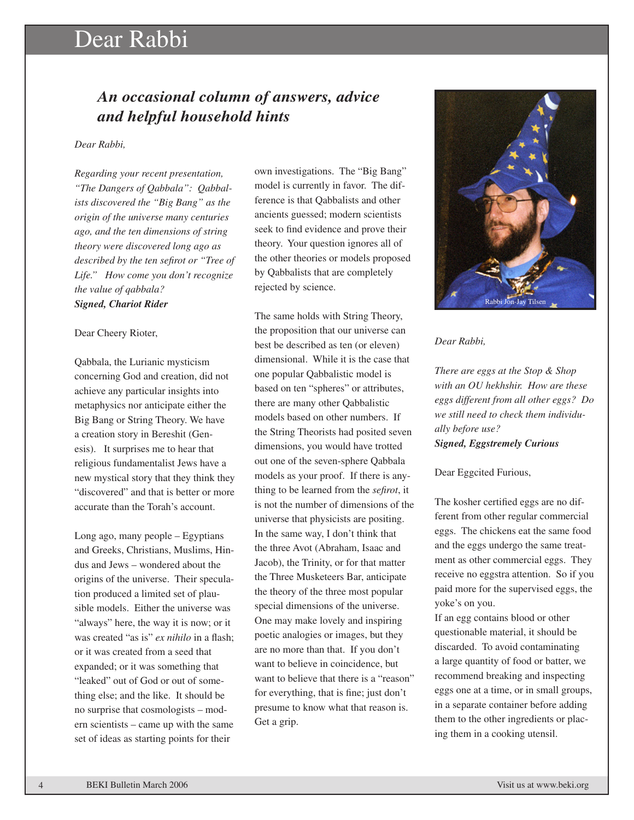# Dear Rabbi

## *An occasional column of answers, advice and helpful household hints*

#### *Dear Rabbi,*

*Regarding your recent presentation, "The Dangers of Qabbala": Qabbalists discovered the "Big Bang" as the origin of the universe many centuries ago, and the ten dimensions of string theory were discovered long ago as described by the ten sefirot or "Tree of Life." How come you don't recognize the value of qabbala? Signed, Chariot Rider*

#### Dear Cheery Rioter,

Qabbala, the Lurianic mysticism concerning God and creation, did not achieve any particular insights into metaphysics nor anticipate either the Big Bang or String Theory. We have a creation story in Bereshit (Genesis). It surprises me to hear that religious fundamentalist Jews have a new mystical story that they think they "discovered" and that is better or more accurate than the Torah's account.

Long ago, many people – Egyptians and Greeks, Christians, Muslims, Hindus and Jews – wondered about the origins of the universe. Their speculation produced a limited set of plausible models. Either the universe was "always" here, the way it is now; or it was created "as is" *ex nihilo* in a flash; or it was created from a seed that expanded; or it was something that "leaked" out of God or out of something else; and the like. It should be no surprise that cosmologists – modern scientists – came up with the same set of ideas as starting points for their

own investigations. The "Big Bang" model is currently in favor. The difference is that Qabbalists and other ancients guessed; modern scientists seek to find evidence and prove their theory. Your question ignores all of the other theories or models proposed by Qabbalists that are completely rejected by science.

The same holds with String Theory, the proposition that our universe can best be described as ten (or eleven) dimensional. While it is the case that one popular Qabbalistic model is based on ten "spheres" or attributes, there are many other Qabbalistic models based on other numbers. If the String Theorists had posited seven dimensions, you would have trotted out one of the seven-sphere Qabbala models as your proof. If there is anything to be learned from the *sefirot*, it is not the number of dimensions of the universe that physicists are positing. In the same way, I don't think that the three Avot (Abraham, Isaac and Jacob), the Trinity, or for that matter the Three Musketeers Bar, anticipate the theory of the three most popular special dimensions of the universe. One may make lovely and inspiring poetic analogies or images, but they are no more than that. If you don't want to believe in coincidence, but want to believe that there is a "reason" for everything, that is fine; just don't presume to know what that reason is. Get a grip.



#### *Dear Rabbi,*

*There are eggs at the Stop & Shop with an OU hekhshir. How are these eggs different from all other eggs? Do we still need to check them individually before use? Signed, Eggstremely Curious*

#### Dear Eggcited Furious,

The kosher certified eggs are no different from other regular commercial eggs. The chickens eat the same food and the eggs undergo the same treatment as other commercial eggs. They receive no eggstra attention. So if you paid more for the supervised eggs, the yoke's on you.

If an egg contains blood or other questionable material, it should be discarded. To avoid contaminating a large quantity of food or batter, we recommend breaking and inspecting eggs one at a time, or in small groups, in a separate container before adding them to the other ingredients or placing them in a cooking utensil.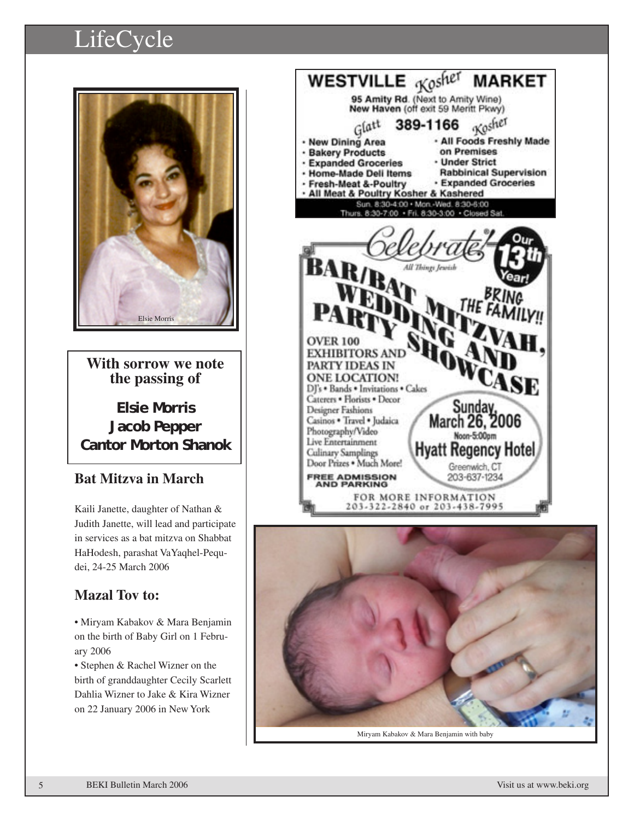# LifeCycle



**With sorrow we note the passing of**

**Elsie Morris Jacob Pepper Cantor Morton Shanok**

## **Bat Mitzva in March**

Kaili Janette, daughter of Nathan & Judith Janette, will lead and participate in services as a bat mitzva on Shabbat HaHodesh, parashat VaYaqhel-Pequdei, 24-25 March 2006

## **Mazal Tov to:**

• Miryam Kabakov & Mara Benjamin on the birth of Baby Girl on 1 February 2006

• Stephen & Rachel Wizner on the birth of granddaughter Cecily Scarlett Dahlia Wizner to Jake & Kira Wizner on 22 January 2006 in New York



Miryam Kabakov & Mara Benjamin with baby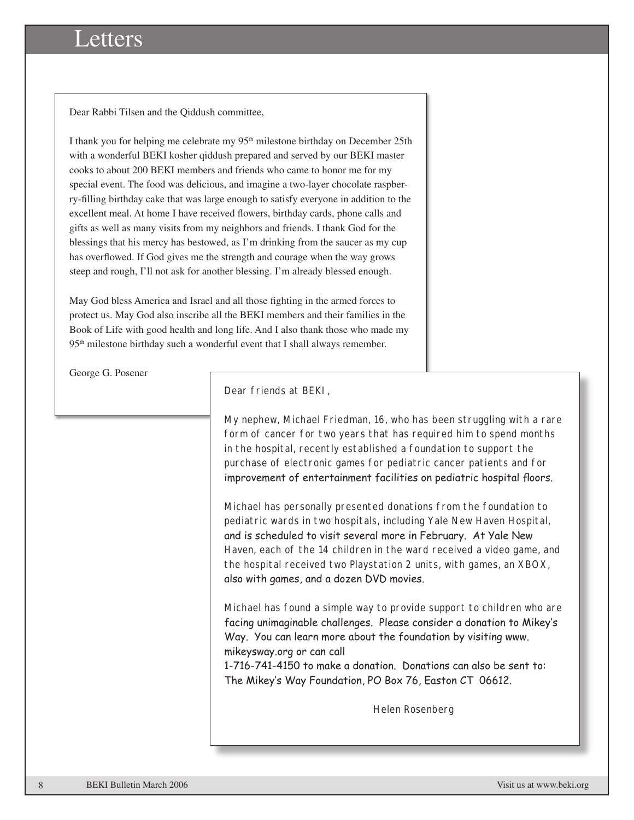# Letters

Dear Rabbi Tilsen and the Qiddush committee,

I thank you for helping me celebrate my  $95<sup>th</sup>$  milestone birthday on December 25th with a wonderful BEKI kosher qiddush prepared and served by our BEKI master cooks to about 200 BEKI members and friends who came to honor me for my special event. The food was delicious, and imagine a two-layer chocolate raspberry-filling birthday cake that was large enough to satisfy everyone in addition to the excellent meal. At home I have received flowers, birthday cards, phone calls and gifts as well as many visits from my neighbors and friends. I thank God for the blessings that his mercy has bestowed, as I'm drinking from the saucer as my cup has overflowed. If God gives me the strength and courage when the way grows steep and rough, I'll not ask for another blessing. I'm already blessed enough.

May God bless America and Israel and all those fighting in the armed forces to protect us. May God also inscribe all the BEKI members and their families in the Book of Life with good health and long life. And I also thank those who made my 95<sup>th</sup> milestone birthday such a wonderful event that I shall always remember.

George G. Posener

Dear friends at BEKI,

My nephew, Michael Friedman, 16, who has been struggling with a rare form of cancer for two years that has required him to spend months in the hospital, recently established a foundation to support the purchase of electronic games for pediatric cancer patients and for improvement of entertainment facilities on pediatric hospital floors.

Michael has personally presented donations from the foundation to pediatric wards in two hospitals, including Yale New Haven Hospital, and is scheduled to visit several more in February. At Yale New Haven, each of the 14 children in the ward received a video game, and the hospital received two Playstation 2 units, with games, an XBOX, also with games, and a dozen DVD movies.

Michael has found a simple way to provide support to children who are facing unimaginable challenges. Please consider a donation to Mikey's Way. You can learn more about the foundation by visiting www. mikeysway.org or can call

1-716-741-4150 to make a donation. Donations can also be sent to: The Mikey's Way Foundation, PO Box 76, Easton CT 06612.

Helen Rosenberg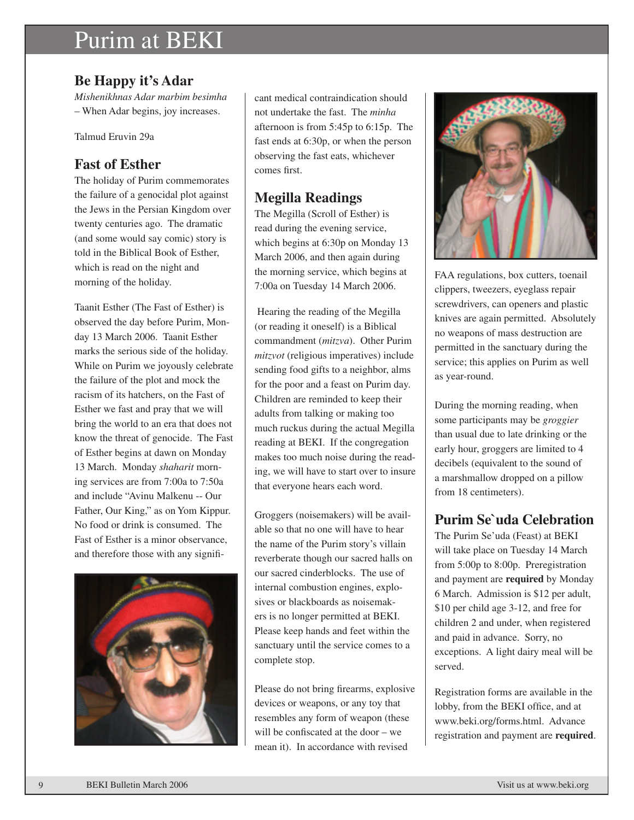# Purim at BEKI

## **Be Happy it's Adar**

*Mishenikhnas Adar marbim besimha* – When Adar begins, joy increases.

Talmud Eruvin 29a

## **Fast of Esther**

The holiday of Purim commemorates the failure of a genocidal plot against the Jews in the Persian Kingdom over twenty centuries ago. The dramatic (and some would say comic) story is told in the Biblical Book of Esther, which is read on the night and morning of the holiday.

Taanit Esther (The Fast of Esther) is observed the day before Purim, Monday 13 March 2006. Taanit Esther marks the serious side of the holiday. While on Purim we joyously celebrate the failure of the plot and mock the racism of its hatchers, on the Fast of Esther we fast and pray that we will bring the world to an era that does not know the threat of genocide. The Fast of Esther begins at dawn on Monday 13 March. Monday *shaharit* morning services are from 7:00a to 7:50a and include "Avinu Malkenu -- Our Father, Our King," as on Yom Kippur. No food or drink is consumed. The Fast of Esther is a minor observance, and therefore those with any signifi-



cant medical contraindication should not undertake the fast. The *minha* afternoon is from 5:45p to 6:15p. The fast ends at 6:30p, or when the person observing the fast eats, whichever comes first.

## **Megilla Readings**

The Megilla (Scroll of Esther) is read during the evening service, which begins at 6:30p on Monday 13 March 2006, and then again during the morning service, which begins at 7:00a on Tuesday 14 March 2006.

 Hearing the reading of the Megilla (or reading it oneself) is a Biblical commandment (*mitzva*). Other Purim *mitzvot* (religious imperatives) include sending food gifts to a neighbor, alms for the poor and a feast on Purim day. Children are reminded to keep their adults from talking or making too much ruckus during the actual Megilla reading at BEKI. If the congregation makes too much noise during the reading, we will have to start over to insure that everyone hears each word.

Groggers (noisemakers) will be available so that no one will have to hear the name of the Purim story's villain reverberate though our sacred halls on our sacred cinderblocks. The use of internal combustion engines, explosives or blackboards as noisemakers is no longer permitted at BEKI. Please keep hands and feet within the sanctuary until the service comes to a complete stop.

Please do not bring firearms, explosive devices or weapons, or any toy that resembles any form of weapon (these will be confiscated at the door – we mean it). In accordance with revised



FAA regulations, box cutters, toenail clippers, tweezers, eyeglass repair screwdrivers, can openers and plastic knives are again permitted. Absolutely no weapons of mass destruction are permitted in the sanctuary during the service; this applies on Purim as well as year-round.

During the morning reading, when some participants may be *groggier* than usual due to late drinking or the early hour, groggers are limited to 4 decibels (equivalent to the sound of a marshmallow dropped on a pillow from 18 centimeters).

## **Purim Se`uda Celebration**

The Purim Se'uda (Feast) at BEKI will take place on Tuesday 14 March from 5:00p to 8:00p. Preregistration and payment are **required** by Monday 6 March. Admission is \$12 per adult, \$10 per child age 3-12, and free for children 2 and under, when registered and paid in advance. Sorry, no exceptions. A light dairy meal will be served.

Registration forms are available in the lobby, from the BEKI office, and at www.beki.org/forms.html. Advance registration and payment are **required**.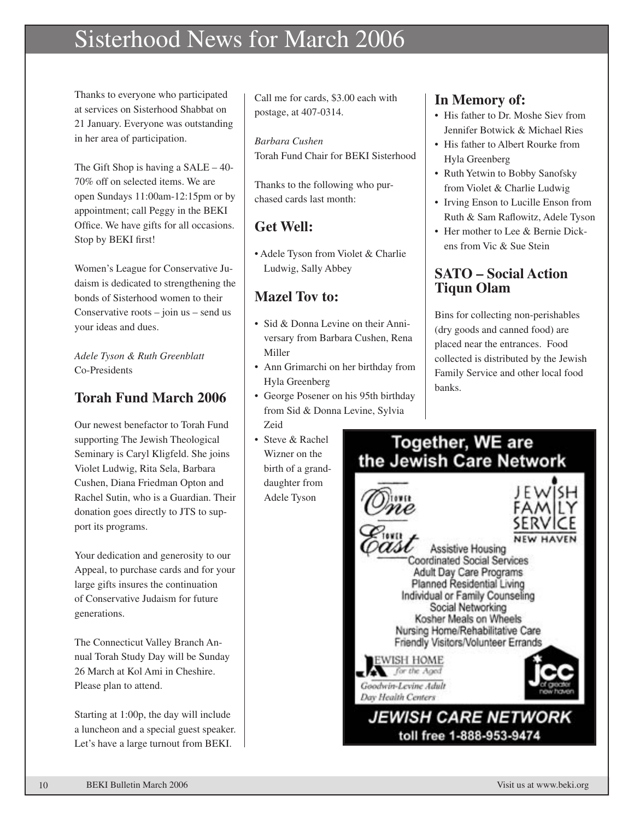# Sisterhood News for March 2006

Thanks to everyone who participated at services on Sisterhood Shabbat on 21 January. Everyone was outstanding in her area of participation.

The Gift Shop is having a  $SALE - 40-$ 70% off on selected items. We are open Sundays 11:00am-12:15pm or by appointment; call Peggy in the BEKI Office. We have gifts for all occasions. Stop by BEKI first!

Women's League for Conservative Judaism is dedicated to strengthening the bonds of Sisterhood women to their Conservative roots – join us – send us your ideas and dues.

*Adele Tyson & Ruth Greenblatt* Co-Presidents

## **Torah Fund March 2006**

Our newest benefactor to Torah Fund supporting The Jewish Theological Seminary is Caryl Kligfeld. She joins Violet Ludwig, Rita Sela, Barbara Cushen, Diana Friedman Opton and Rachel Sutin, who is a Guardian. Their donation goes directly to JTS to support its programs.

Your dedication and generosity to our Appeal, to purchase cards and for your large gifts insures the continuation of Conservative Judaism for future generations.

The Connecticut Valley Branch Annual Torah Study Day will be Sunday 26 March at Kol Ami in Cheshire. Please plan to attend.

Starting at 1:00p, the day will include a luncheon and a special guest speaker. Let's have a large turnout from BEKI.

Call me for cards, \$3.00 each with postage, at 407-0314.

*Barbara Cushen* Torah Fund Chair for BEKI Sisterhood

Thanks to the following who purchased cards last month:

## **Get Well:**

• Adele Tyson from Violet & Charlie Ludwig, Sally Abbey

## **Mazel Tov to:**

- Sid & Donna Levine on their Anniversary from Barbara Cushen, Rena Miller
- Ann Grimarchi on her birthday from Hyla Greenberg
- George Posener on his 95th birthday from Sid & Donna Levine, Sylvia Zeid
- Steve & Rachel Wizner on the birth of a granddaughter from Adele Tyson

## **In Memory of:**

- His father to Dr. Moshe Siev from Jennifer Botwick & Michael Ries
- His father to Albert Rourke from Hyla Greenberg
- Ruth Yetwin to Bobby Sanofsky from Violet & Charlie Ludwig
- Irving Enson to Lucille Enson from Ruth & Sam Raflowitz, Adele Tyson
- Her mother to Lee & Bernie Dickens from Vic & Sue Stein

## **SATO – Social Action Tiqun Olam**

Bins for collecting non-perishables (dry goods and canned food) are placed near the entrances. Food collected is distributed by the Jewish Family Service and other local food banks.

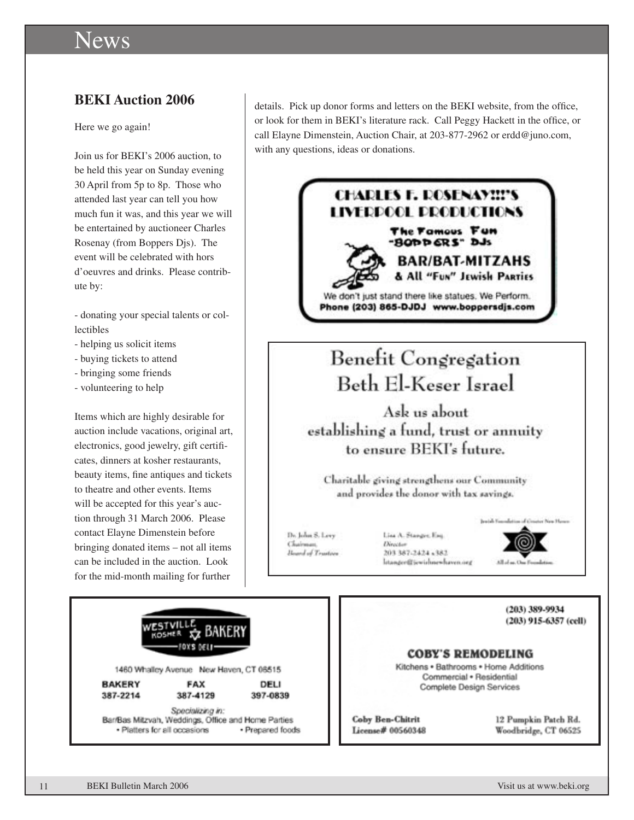# News

#### **BEKI Auction 2006**

Here we go again!

Join us for BEKI's 2006 auction, to be held this year on Sunday evening 30 April from 5p to 8p. Those who attended last year can tell you how much fun it was, and this year we will be entertained by auctioneer Charles Rosenay (from Boppers Djs). The event will be celebrated with hors d'oeuvres and drinks. Please contribute by:

- donating your special talents or collectibles

- helping us solicit items
- buying tickets to attend
- bringing some friends
- volunteering to help

Items which are highly desirable for auction include vacations, original art, electronics, good jewelry, gift certificates, dinners at kosher restaurants, beauty items, fine antiques and tickets to theatre and other events. Items will be accepted for this year's auction through 31 March 2006. Please contact Elayne Dimenstein before bringing donated items – not all items can be included in the auction. Look for the mid-month mailing for further

details. Pick up donor forms and letters on the BEKI website, from the office, or look for them in BEKI's literature rack. Call Peggy Hackett in the office, or call Elayne Dimenstein, Auction Chair, at 203-877-2962 or erdd@juno.com, with any questions, ideas or donations.



1460 Whalley Avenue New Haven, CT 06515

**BAKERY** 387-2214

**FAX** 387-4129 DELI

397-0839

Specializing in: Bar/Bas Mitzvah, Weddings, Office and Home Parties · Platters for all occasions · Prepared foods

#### **COBY'S REMODELING**

Kitchens . Bathrooms . Home Additions Commercial . Residential Complete Design Services

**Coby Ben-Chitrit** License# 00560348 12 Pumpkin Patch Rd. Woodbridge, CT 06525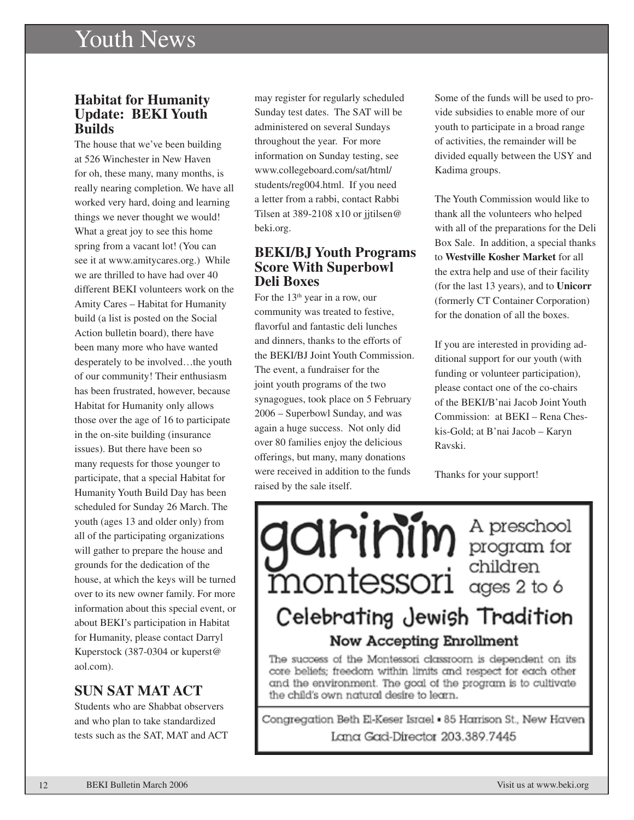# Youth News

#### **Habitat for Humanity Update: BEKI Youth Builds**

The house that we've been building at 526 Winchester in New Haven for oh, these many, many months, is really nearing completion. We have all worked very hard, doing and learning things we never thought we would! What a great joy to see this home spring from a vacant lot! (You can see it at www.amitycares.org.) While we are thrilled to have had over 40 different BEKI volunteers work on the Amity Cares – Habitat for Humanity build (a list is posted on the Social Action bulletin board), there have been many more who have wanted desperately to be involved…the youth of our community! Their enthusiasm has been frustrated, however, because Habitat for Humanity only allows those over the age of 16 to participate in the on-site building (insurance issues). But there have been so many requests for those younger to participate, that a special Habitat for Humanity Youth Build Day has been scheduled for Sunday 26 March. The youth (ages 13 and older only) from all of the participating organizations will gather to prepare the house and grounds for the dedication of the house, at which the keys will be turned over to its new owner family. For more information about this special event, or about BEKI's participation in Habitat for Humanity, please contact Darryl Kuperstock (387-0304 or kuperst@ aol.com).

#### **SUN SAT MAT ACT**

Students who are Shabbat observers and who plan to take standardized tests such as the SAT, MAT and ACT

may register for regularly scheduled Sunday test dates. The SAT will be administered on several Sundays throughout the year. For more information on Sunday testing, see www.collegeboard.com/sat/html/ students/reg004.html. If you need a letter from a rabbi, contact Rabbi Tilsen at 389-2108 x10 or jitilsen@ beki.org.

#### **BEKI/BJ Youth Programs Score With Superbowl Deli Boxes**

For the  $13<sup>th</sup>$  year in a row, our community was treated to festive, flavorful and fantastic deli lunches and dinners, thanks to the efforts of the BEKI/BJ Joint Youth Commission. The event, a fundraiser for the joint youth programs of the two synagogues, took place on 5 February 2006 – Superbowl Sunday, and was again a huge success. Not only did over 80 families enjoy the delicious offerings, but many, many donations were received in addition to the funds raised by the sale itself.

Some of the funds will be used to provide subsidies to enable more of our youth to participate in a broad range of activities, the remainder will be divided equally between the USY and Kadima groups.

The Youth Commission would like to thank all the volunteers who helped with all of the preparations for the Deli Box Sale. In addition, a special thanks to **Westville Kosher Market** for all the extra help and use of their facility (for the last 13 years), and to **Unicorr** (formerly CT Container Corporation) for the donation of all the boxes.

If you are interested in providing additional support for our youth (with funding or volunteer participation), please contact one of the co-chairs of the BEKI/B'nai Jacob Joint Youth Commission: at BEKI – Rena Cheskis-Gold; at B'nai Jacob – Karyn Ravski.

Thanks for your support!

garinin A preschool montessori dividren Celebrating Jewish Tradition Now Accepting Enrollment

The success of the Montessori classroom is dependent on its core beliefs; freedom within limits and respect for each other and the environment. The goal of the program is to cultivate the child's own natural desire to learn.

Congregation Beth El-Keser Israel . 85 Harrison St., New Haven Lana Gad-Director 203.389.7445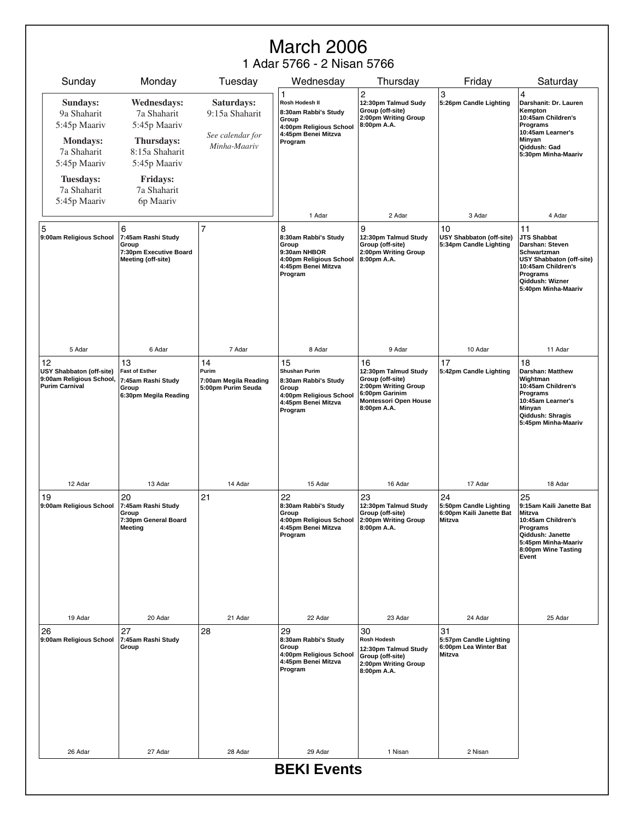# March 2006

1 Adar 5766 - 2 Nisan 5766

| Sunday                                                                                                                       | Monday                                                                                                                              | Tuesday                                                          | Wednesday                                                                                                                | Thursday                                                                                                                         | Friday                                                                    | Saturday                                                                                                                                                                  |
|------------------------------------------------------------------------------------------------------------------------------|-------------------------------------------------------------------------------------------------------------------------------------|------------------------------------------------------------------|--------------------------------------------------------------------------------------------------------------------------|----------------------------------------------------------------------------------------------------------------------------------|---------------------------------------------------------------------------|---------------------------------------------------------------------------------------------------------------------------------------------------------------------------|
| Sundays:<br>9a Shaharit<br>5:45p Maariv<br><b>Mondays:</b><br>7a Shaharit<br>5:45p Maariv<br><b>Tuesdays:</b><br>7a Shaharit | <b>Wednesdays:</b><br>7a Shaharit<br>5:45p Maariv<br>Thursdays:<br>8:15a Shaharit<br>5:45p Maariv<br><b>Fridays:</b><br>7a Shaharit | Saturdays:<br>9:15a Shaharit<br>See calendar for<br>Minha-Maariv | 1<br>Rosh Hodesh II<br>8:30am Rabbi's Study<br>Group<br>4:00pm Religious School<br>4:45pm Benei Mitzva<br>Program        | 2<br>12:30pm Talmud Sudy<br>Group (off-site)<br>2:00pm Writing Group<br>8:00pm A.A.                                              | 3<br>5:26pm Candle Lighting                                               | 4<br>Darshanit: Dr. Lauren<br>Kempton<br>10:45am Children's<br>Programs<br>10:45am Learner's<br>Minyan<br>Qiddush: Gad<br>5:30pm Minha-Maariv                             |
| 5:45p Maariv                                                                                                                 | 6p Maariv                                                                                                                           |                                                                  | 1 Adar                                                                                                                   | 2 Adar                                                                                                                           | 3 Adar                                                                    | 4 Adar                                                                                                                                                                    |
| 5<br>9:00am Religious School                                                                                                 | 6<br>7:45am Rashi Study<br>Group<br>7:30pm Executive Board<br>Meeting (off-site)                                                    | $\overline{7}$                                                   | 8<br>8:30am Rabbi's Study<br>Group<br>9:30am NHBOR<br>4:00pm Religious School<br>4:45pm Benei Mitzva<br>Program          | 9<br>12:30pm Talmud Study<br>Group (off-site)<br>2:00pm Writing Group<br>8:00pm A.A.                                             | 10<br>USY Shabbaton (off-site)<br>5:34pm Candle Lighting                  | 11<br><b>JTS Shabbat</b><br>Darshan: Steven<br>Schwartzman<br><b>USY Shabbaton (off-site)</b><br>10:45am Children's<br>Programs<br>Qiddush: Wizner<br>5:40pm Minha-Maariv |
| 5 Adar                                                                                                                       | 6 Adar                                                                                                                              | 7 Adar                                                           | 8 Adar                                                                                                                   | 9 Adar                                                                                                                           | 10 Adar                                                                   | 11 Adar                                                                                                                                                                   |
| 12<br><b>USY Shabbaton (off-site)</b><br>9:00am Religious School,<br><b>Purim Carnival</b>                                   | 13<br><b>Fast of Esther</b><br>7:45am Rashi Study<br>Group<br>6:30pm Megila Reading                                                 | 14<br>Purim<br>7:00am Megila Reading<br>5:00pm Purim Seuda       | 15<br><b>Shushan Purim</b><br>8:30am Rabbi's Study<br>Group<br>4:00pm Religious School<br>4:45pm Benei Mitzva<br>Program | 16<br>12:30pm Talmud Study<br>Group (off-site)<br>2:00pm Writing Group<br>6:00pm Garinim<br>Montessori Open House<br>8:00pm A.A. | 17<br>5:42pm Candle Lighting                                              | 18<br>Darshan: Matthew<br>Wightman<br>10:45am Children's<br>Programs<br>10:45am Learner's<br>Minyan<br>Qiddush: Shragis<br>5:45pm Minha-Maariv                            |
| 12 Adar                                                                                                                      | 13 Adar                                                                                                                             | 14 Adar                                                          | 15 Adar                                                                                                                  | 16 Adar                                                                                                                          | 17 Adar                                                                   | 18 Adar                                                                                                                                                                   |
| 19<br>9:00am Religious School                                                                                                | 20<br>7:45am Rashi Study<br>Group<br>7:30pm General Board<br>Meeting                                                                | 21                                                               | 22<br>8:30am Rabbi's Study<br>Group<br>4:00pm Religious School<br>4:45pm Benei Mitzva<br>Program                         | 23<br>12:30pm Talmud Study<br>Group (off-site)<br>2:00pm Writing Group<br>8:00pm A.A.                                            | 24<br>5:50pm Candle Lighting<br>6:00pm Kaili Janette Bat<br><b>Mitzva</b> | 25<br>9:15am Kaili Janette Bat<br>Mitzva<br>10:45am Children's<br>Programs<br>Qiddush: Janette<br>5:45pm Minha-Maariv<br>8:00pm Wine Tasting<br>Event                     |
| 19 Adar                                                                                                                      | 20 Adar                                                                                                                             | 21 Adar                                                          | 22 Adar                                                                                                                  | 23 Adar                                                                                                                          | 24 Adar                                                                   | 25 Adar                                                                                                                                                                   |
| 26<br>9:00am Religious School                                                                                                | 27<br>7:45am Rashi Study<br>Group                                                                                                   | 28                                                               | 29<br>8:30am Rabbi's Study<br>Group<br>4:00pm Religious School<br>4:45pm Benei Mitzva<br>Program                         | 30<br>Rosh Hodesh<br>12:30pm Talmud Study<br>Group (off-site)<br>2:00pm Writing Group<br>8:00pm A.A.                             | 31<br>5:57pm Candle Lighting<br>6:00pm Lea Winter Bat<br><b>Mitzva</b>    |                                                                                                                                                                           |
|                                                                                                                              |                                                                                                                                     |                                                                  |                                                                                                                          |                                                                                                                                  |                                                                           |                                                                                                                                                                           |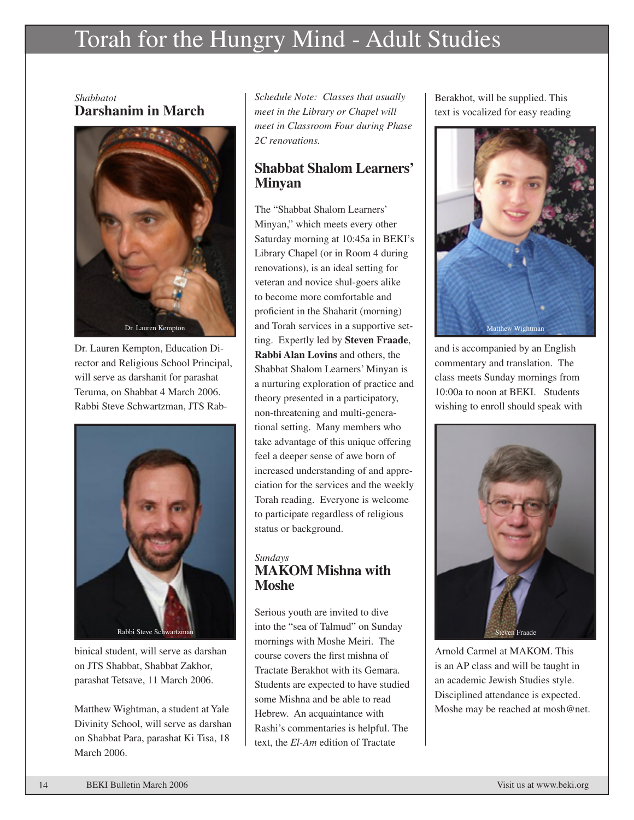# Torah for the Hungry Mind - Adult Studies

*Shabbatot* **Darshanim in March**



Dr. Lauren Kempton, Education Director and Religious School Principal, will serve as darshanit for parashat Teruma, on Shabbat 4 March 2006. Rabbi Steve Schwartzman, JTS Rab-



binical student, will serve as darshan on JTS Shabbat, Shabbat Zakhor, parashat Tetsave, 11 March 2006.

Matthew Wightman, a student at Yale Divinity School, will serve as darshan on Shabbat Para, parashat Ki Tisa, 18 March 2006.

*Schedule Note: Classes that usually meet in the Library or Chapel will meet in Classroom Four during Phase 2C renovations.*

#### **Shabbat Shalom Learners' Minyan**

The "Shabbat Shalom Learners' Minyan," which meets every other Saturday morning at 10:45a in BEKI's Library Chapel (or in Room 4 during renovations), is an ideal setting for veteran and novice shul-goers alike to become more comfortable and proficient in the Shaharit (morning) and Torah services in a supportive setting. Expertly led by **Steven Fraade**, **Rabbi Alan Lovins** and others, the Shabbat Shalom Learners' Minyan is a nurturing exploration of practice and theory presented in a participatory, non-threatening and multi-generational setting. Many members who take advantage of this unique offering feel a deeper sense of awe born of increased understanding of and appreciation for the services and the weekly Torah reading. Everyone is welcome to participate regardless of religious status or background.

#### *Sundays* **MAKOM Mishna with Moshe**

Serious youth are invited to dive into the "sea of Talmud" on Sunday mornings with Moshe Meiri. The course covers the first mishna of Tractate Berakhot with its Gemara. Students are expected to have studied some Mishna and be able to read Hebrew. An acquaintance with Rashi's commentaries is helpful. The text, the *El-Am* edition of Tractate

Berakhot, will be supplied. This text is vocalized for easy reading



and is accompanied by an English commentary and translation. The class meets Sunday mornings from 10:00a to noon at BEKI. Students wishing to enroll should speak with



Arnold Carmel at MAKOM. This is an AP class and will be taught in an academic Jewish Studies style. Disciplined attendance is expected. Moshe may be reached at mosh@net.